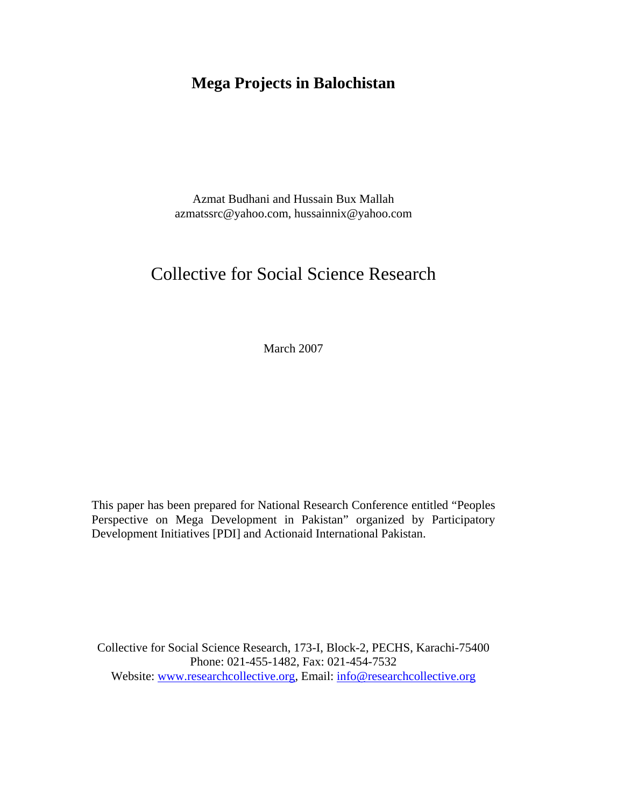# **Mega Projects in Balochistan**

Azmat Budhani and Hussain Bux Mallah azmatssrc@yahoo.com, hussainnix@yahoo.com

# Collective for Social Science Research

March 2007

This paper has been prepared for National Research Conference entitled "Peoples Perspective on Mega Development in Pakistan" organized by Participatory Development Initiatives [PDI] and Actionaid International Pakistan.

Collective for Social Science Research, 173-I, Block-2, PECHS, Karachi-75400 Phone: 021-455-1482, Fax: 021-454-7532 Website: www.researchcollective.org, Email: info@researchcollective.org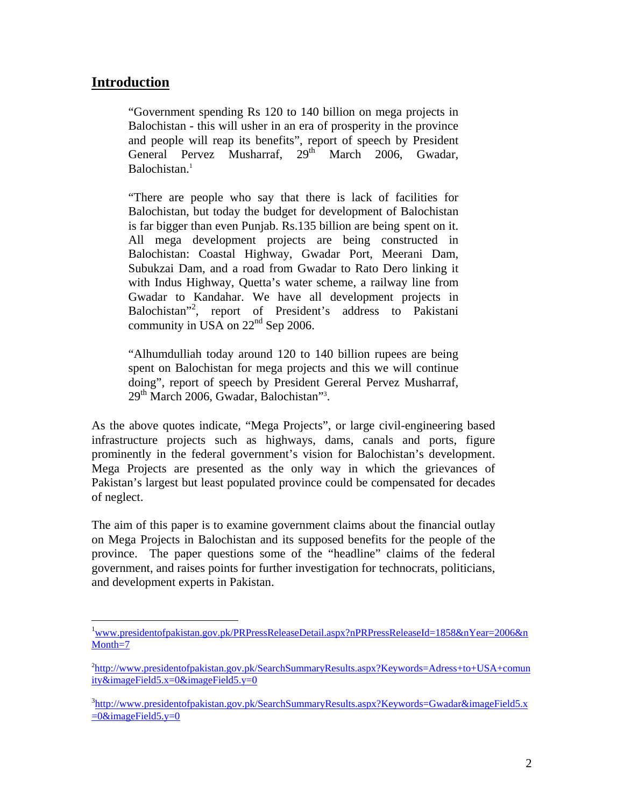## **Introduction**

 $\overline{a}$ 

"Government spending Rs 120 to 140 billion on mega projects in Balochistan - this will usher in an era of prosperity in the province and people will reap its benefits", report of speech by President General Pervez Musharraf, 29<sup>th</sup> March 2006, Gwadar, Balochistan.<sup>[1](#page-1-0)</sup>

"There are people who say that there is lack of facilities for Balochistan, but today the budget for development of Balochistan is far bigger than even Punjab. Rs.135 billion are being spent on it. All mega development projects are being constructed in Balochistan: Coastal Highway, Gwadar Port, Meerani Dam, Subukzai Dam, and a road from Gwadar to Rato Dero linking it with Indus Highway, Quetta's water scheme, a railway line from Gwadar to Kandahar. We have all development projects in Balochistan"[2](#page-1-1) , report of President's address to Pakistani community in USA on 22nd Sep 2006.

"Alhumdulliah today around 120 to 140 billion rupees are being spent on Balochistan for mega projects and this we will continue doing", report of speech by President Gereral Pervez Musharraf, 29<sup>th</sup> March 2006, Gwadar, Balochistan"<sup>[3](#page-1-2)</sup>.

As the above quotes indicate, "Mega Projects", or large civil-engineering based infrastructure projects such as highways, dams, canals and ports, figure prominently in the federal government's vision for Balochistan's development. Mega Projects are presented as the only way in which the grievances of Pakistan's largest but least populated province could be compensated for decades of neglect.

The aim of this paper is to examine government claims about the financial outlay on Mega Projects in Balochistan and its supposed benefits for the people of the province. The paper questions some of the "headline" claims of the federal government, and raises points for further investigation for technocrats, politicians, and development experts in Pakistan.

<span id="page-1-0"></span><sup>&</sup>lt;sup>1</sup>www.presidentofpakistan.gov.pk/PRPressReleaseDetail.aspx?nPRPressReleaseId=1858&nYear=2006&n Month=7

<span id="page-1-1"></span><sup>&</sup>lt;sup>2</sup>http://www.presidentofpakistan.gov.pk/SearchSummaryResults.aspx?Keywords=Adress+to+USA+comun ity&imageField5.x=0&imageField5.y=0

<span id="page-1-2"></span><sup>&</sup>lt;sup>3</sup>http://www.presidentofpakistan.gov.pk/SearchSummaryResults.aspx?Keywords=Gwadar&imageField5.x  $=0$ &imageField5.y=0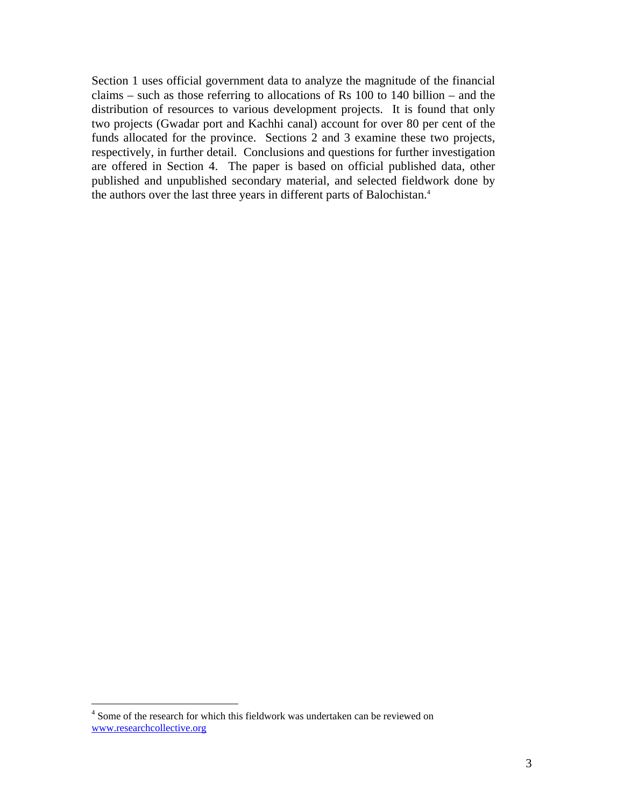Section 1 uses official government data to analyze the magnitude of the financial claims – such as those referring to allocations of Rs 100 to 140 billion – and the distribution of resources to various development projects. It is found that only two projects (Gwadar port and Kachhi canal) account for over 80 per cent of the funds allocated for the province. Sections 2 and 3 examine these two projects, respectively, in further detail. Conclusions and questions for further investigation are offered in Section 4. The paper is based on official published data, other published and unpublished secondary material, and selected fieldwork done by the authors over the last three years in different parts of Balochistan.<sup>4</sup>

 $\overline{a}$ 

<span id="page-2-0"></span><sup>&</sup>lt;sup>4</sup> Some of the research for which this fieldwork was undertaken can be reviewed on www.researchcollective.org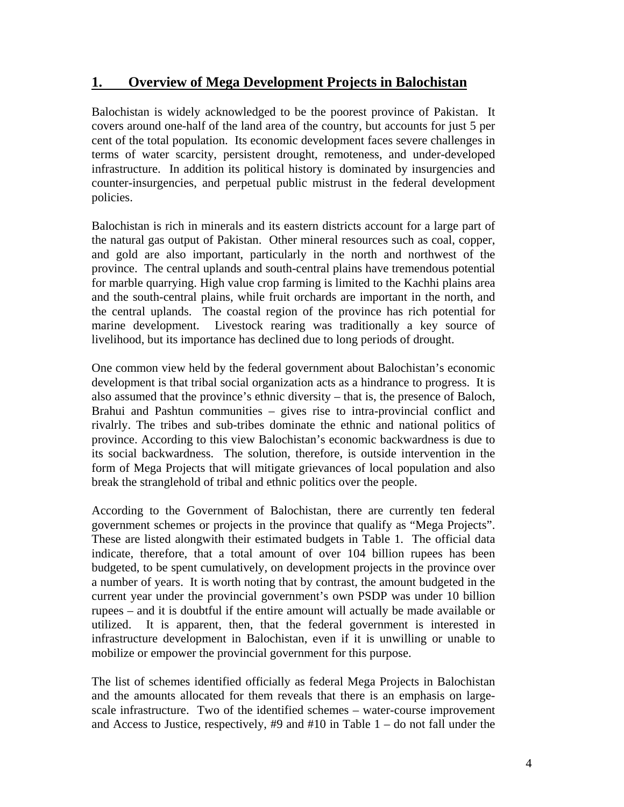## **1. Overview of Mega Development Projects in Balochistan**

Balochistan is widely acknowledged to be the poorest province of Pakistan. It covers around one-half of the land area of the country, but accounts for just 5 per cent of the total population. Its economic development faces severe challenges in terms of water scarcity, persistent drought, remoteness, and under-developed infrastructure. In addition its political history is dominated by insurgencies and counter-insurgencies, and perpetual public mistrust in the federal development policies.

Balochistan is rich in minerals and its eastern districts account for a large part of the natural gas output of Pakistan. Other mineral resources such as coal, copper, and gold are also important, particularly in the north and northwest of the province. The central uplands and south-central plains have tremendous potential for marble quarrying. High value crop farming is limited to the Kachhi plains area and the south-central plains, while fruit orchards are important in the north, and the central uplands. The coastal region of the province has rich potential for marine development. Livestock rearing was traditionally a key source of livelihood, but its importance has declined due to long periods of drought.

One common view held by the federal government about Balochistan's economic development is that tribal social organization acts as a hindrance to progress. It is also assumed that the province's ethnic diversity – that is, the presence of Baloch, Brahui and Pashtun communities – gives rise to intra-provincial conflict and rivalrly. The tribes and sub-tribes dominate the ethnic and national politics of province. According to this view Balochistan's economic backwardness is due to its social backwardness. The solution, therefore, is outside intervention in the form of Mega Projects that will mitigate grievances of local population and also break the stranglehold of tribal and ethnic politics over the people.

According to the Government of Balochistan, there are currently ten federal government schemes or projects in the province that qualify as "Mega Projects". These are listed alongwith their estimated budgets in Table 1. The official data indicate, therefore, that a total amount of over 104 billion rupees has been budgeted, to be spent cumulatively, on development projects in the province over a number of years. It is worth noting that by contrast, the amount budgeted in the current year under the provincial government's own PSDP was under 10 billion rupees – and it is doubtful if the entire amount will actually be made available or utilized. It is apparent, then, that the federal government is interested in infrastructure development in Balochistan, even if it is unwilling or unable to mobilize or empower the provincial government for this purpose.

The list of schemes identified officially as federal Mega Projects in Balochistan and the amounts allocated for them reveals that there is an emphasis on largescale infrastructure. Two of the identified schemes – water-course improvement and Access to Justice, respectively,  $#9$  and  $#10$  in Table  $1 -$  do not fall under the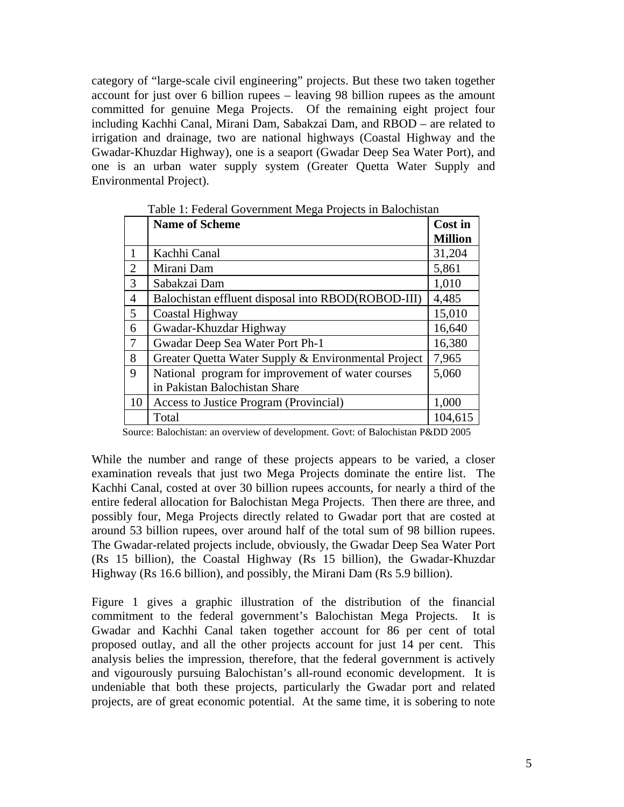category of "large-scale civil engineering" projects. But these two taken together account for just over 6 billion rupees – leaving 98 billion rupees as the amount committed for genuine Mega Projects. Of the remaining eight project four including Kachhi Canal, Mirani Dam, Sabakzai Dam, and RBOD – are related to irrigation and drainage, two are national highways (Coastal Highway and the Gwadar-Khuzdar Highway), one is a seaport (Gwadar Deep Sea Water Port), and one is an urban water supply system (Greater Quetta Water Supply and Environmental Project).

|                | <b>Name of Scheme</b>                               | Cost in<br><b>Million</b> |
|----------------|-----------------------------------------------------|---------------------------|
|                |                                                     |                           |
|                | Kachhi Canal                                        | 31,204                    |
| $\overline{2}$ | Mirani Dam                                          | 5,861                     |
| 3              | Sabakzai Dam                                        | 1,010                     |
| $\overline{4}$ | Balochistan effluent disposal into RBOD(ROBOD-III)  | 4,485                     |
| 5              | Coastal Highway                                     | 15,010                    |
| 6              | Gwadar-Khuzdar Highway                              | 16,640                    |
| $\overline{7}$ | Gwadar Deep Sea Water Port Ph-1                     | 16,380                    |
| 8              | Greater Quetta Water Supply & Environmental Project | 7,965                     |
| 9              | National program for improvement of water courses   | 5,060                     |
|                | in Pakistan Balochistan Share                       |                           |
| 10             | Access to Justice Program (Provincial)              | 1,000                     |
|                | Total                                               | 104,615                   |

Table 1: Federal Government Mega Projects in Balochistan

Source: Balochistan: an overview of development. Govt: of Balochistan P&DD 2005

While the number and range of these projects appears to be varied, a closer examination reveals that just two Mega Projects dominate the entire list. The Kachhi Canal, costed at over 30 billion rupees accounts, for nearly a third of the entire federal allocation for Balochistan Mega Projects. Then there are three, and possibly four, Mega Projects directly related to Gwadar port that are costed at around 53 billion rupees, over around half of the total sum of 98 billion rupees. The Gwadar-related projects include, obviously, the Gwadar Deep Sea Water Port (Rs 15 billion), the Coastal Highway (Rs 15 billion), the Gwadar-Khuzdar Highway (Rs 16.6 billion), and possibly, the Mirani Dam (Rs 5.9 billion).

Figure 1 gives a graphic illustration of the distribution of the financial commitment to the federal government's Balochistan Mega Projects. It is Gwadar and Kachhi Canal taken together account for 86 per cent of total proposed outlay, and all the other projects account for just 14 per cent. This analysis belies the impression, therefore, that the federal government is actively and vigourously pursuing Balochistan's all-round economic development. It is undeniable that both these projects, particularly the Gwadar port and related projects, are of great economic potential. At the same time, it is sobering to note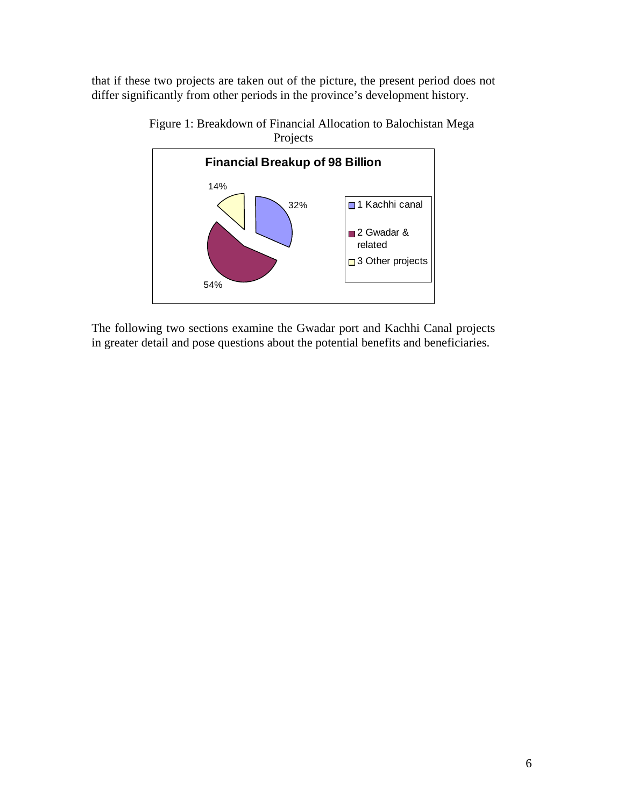that if these two projects are taken out of the picture, the present period does not differ significantly from other periods in the province's development history.



Figure 1: Breakdown of Financial Allocation to Balochistan Mega Projects

The following two sections examine the Gwadar port and Kachhi Canal projects in greater detail and pose questions about the potential benefits and beneficiaries.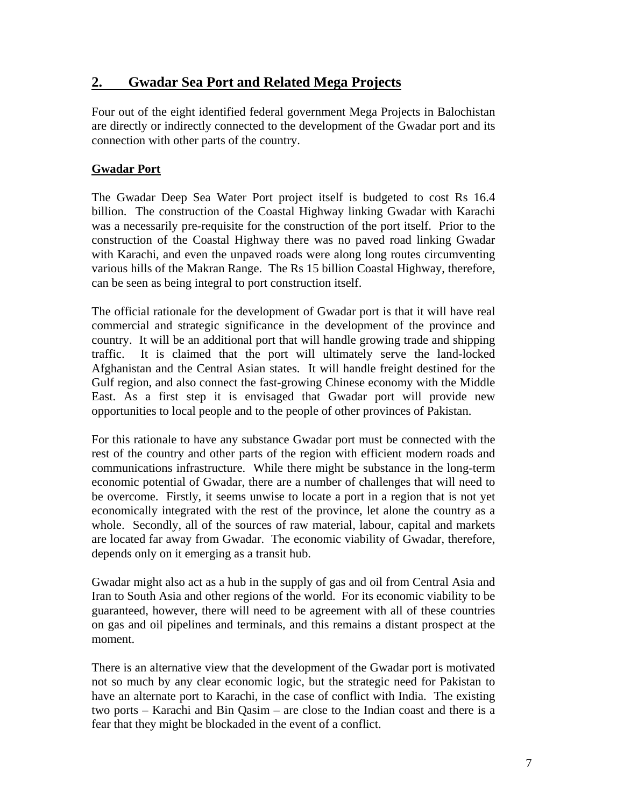# **2. Gwadar Sea Port and Related Mega Projects**

Four out of the eight identified federal government Mega Projects in Balochistan are directly or indirectly connected to the development of the Gwadar port and its connection with other parts of the country.

### **Gwadar Port**

The Gwadar Deep Sea Water Port project itself is budgeted to cost Rs 16.4 billion. The construction of the Coastal Highway linking Gwadar with Karachi was a necessarily pre-requisite for the construction of the port itself. Prior to the construction of the Coastal Highway there was no paved road linking Gwadar with Karachi, and even the unpaved roads were along long routes circumventing various hills of the Makran Range. The Rs 15 billion Coastal Highway, therefore, can be seen as being integral to port construction itself.

The official rationale for the development of Gwadar port is that it will have real commercial and strategic significance in the development of the province and country. It will be an additional port that will handle growing trade and shipping traffic. It is claimed that the port will ultimately serve the land-locked Afghanistan and the Central Asian states. It will handle freight destined for the Gulf region, and also connect the fast-growing Chinese economy with the Middle East. As a first step it is envisaged that Gwadar port will provide new opportunities to local people and to the people of other provinces of Pakistan.

For this rationale to have any substance Gwadar port must be connected with the rest of the country and other parts of the region with efficient modern roads and communications infrastructure. While there might be substance in the long-term economic potential of Gwadar, there are a number of challenges that will need to be overcome. Firstly, it seems unwise to locate a port in a region that is not yet economically integrated with the rest of the province, let alone the country as a whole. Secondly, all of the sources of raw material, labour, capital and markets are located far away from Gwadar. The economic viability of Gwadar, therefore, depends only on it emerging as a transit hub.

Gwadar might also act as a hub in the supply of gas and oil from Central Asia and Iran to South Asia and other regions of the world. For its economic viability to be guaranteed, however, there will need to be agreement with all of these countries on gas and oil pipelines and terminals, and this remains a distant prospect at the moment.

There is an alternative view that the development of the Gwadar port is motivated not so much by any clear economic logic, but the strategic need for Pakistan to have an alternate port to Karachi, in the case of conflict with India. The existing two ports – Karachi and Bin Qasim – are close to the Indian coast and there is a fear that they might be blockaded in the event of a conflict.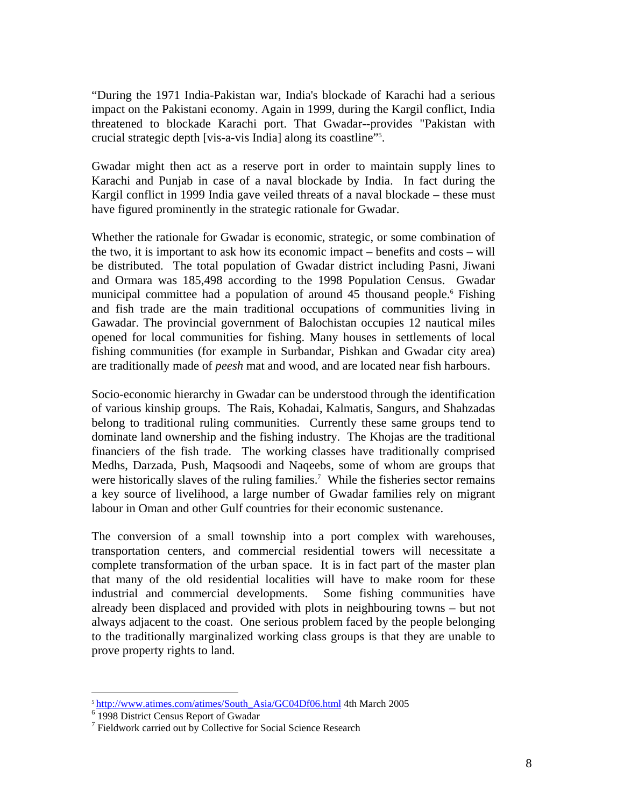"During the 1971 India-Pakistan war, India's blockade of Karachi had a serious impact on the Pakistani economy. Again in 1999, during the Kargil conflict, India threatened to blockade Karachi port. That Gwadar--provides "Pakistan with crucial strategic depth [vis-a-vis India] along its coastline["5](#page-7-0) .

Gwadar might then act as a reserve port in order to maintain supply lines to Karachi and Punjab in case of a naval blockade by India. In fact during the Kargil conflict in 1999 India gave veiled threats of a naval blockade – these must have figured prominently in the strategic rationale for Gwadar.

Whether the rationale for Gwadar is economic, strategic, or some combination of the two, it is important to ask how its economic impact – benefits and costs – will be distributed. The total population of Gwadar district including Pasni, Jiwani and Ormara was 185,498 according to the 1998 Population Census. Gwadar municipalcommittee had a population of around 45 thousand people.<sup>6</sup> Fishing and fish trade are the main traditional occupations of communities living in Gawadar. The provincial government of Balochistan occupies 12 nautical miles opened for local communities for fishing. Many houses in settlements of local fishing communities (for example in Surbandar, Pishkan and Gwadar city area) are traditionally made of *peesh* mat and wood, and are located near fish harbours.

Socio-economic hierarchy in Gwadar can be understood through the identification of various kinship groups. The Rais, Kohadai, Kalmatis, Sangurs, and Shahzadas belong to traditional ruling communities. Currently these same groups tend to dominate land ownership and the fishing industry. The Khojas are the traditional financiers of the fish trade. The working classes have traditionally comprised Medhs, Darzada, Push, Maqsoodi and Naqeebs, some of whom are groups that were historically slaves of the ruling families.<sup>[7](#page-7-2)</sup> While the fisheries sector remains a key source of livelihood, a large number of Gwadar families rely on migrant labour in Oman and other Gulf countries for their economic sustenance.

The conversion of a small township into a port complex with warehouses, transportation centers, and commercial residential towers will necessitate a complete transformation of the urban space. It is in fact part of the master plan that many of the old residential localities will have to make room for these industrial and commercial developments. Some fishing communities have already been displaced and provided with plots in neighbouring towns – but not always adjacent to the coast. One serious problem faced by the people belonging to the traditionally marginalized working class groups is that they are unable to prove property rights to land.

 $\overline{a}$ 

<span id="page-7-0"></span> $\frac{5 \text{ http://www.atimes.com/atimes/South}}{5 \cdot 1008 \text{ District Concure Bonort of Gueder}}$  4th March 2005

<span id="page-7-1"></span><sup>&</sup>lt;sup>6</sup> 1998 District Census Report of Gwadar

<span id="page-7-2"></span><sup>&</sup>lt;sup>7</sup> Fieldwork carried out by Collective for Social Science Research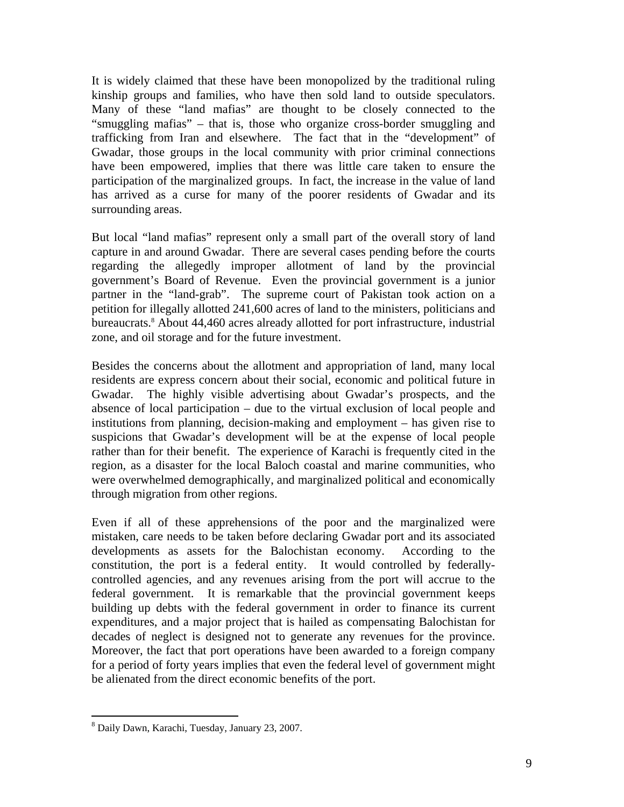It is widely claimed that these have been monopolized by the traditional ruling kinship groups and families, who have then sold land to outside speculators. Many of these "land mafias" are thought to be closely connected to the "smuggling mafias" – that is, those who organize cross-border smuggling and trafficking from Iran and elsewhere. The fact that in the "development" of Gwadar, those groups in the local community with prior criminal connections have been empowered, implies that there was little care taken to ensure the participation of the marginalized groups. In fact, the increase in the value of land has arrived as a curse for many of the poorer residents of Gwadar and its surrounding areas.

But local "land mafias" represent only a small part of the overall story of land capture in and around Gwadar. There are several cases pending before the courts regarding the allegedly improper allotment of land by the provincial government's Board of Revenue. Even the provincial government is a junior partner in the "land-grab". The supreme court of Pakistan took action on a petition for illegally allotted 241,600 acres of land to the ministers, politicians and bureaucrats.<sup>[8](#page-8-0)</sup> About 44,460 acres already allotted for port infrastructure, industrial zone, and oil storage and for the future investment.

Besides the concerns about the allotment and appropriation of land, many local residents are express concern about their social, economic and political future in Gwadar. The highly visible advertising about Gwadar's prospects, and the absence of local participation – due to the virtual exclusion of local people and institutions from planning, decision-making and employment – has given rise to suspicions that Gwadar's development will be at the expense of local people rather than for their benefit. The experience of Karachi is frequently cited in the region, as a disaster for the local Baloch coastal and marine communities, who were overwhelmed demographically, and marginalized political and economically through migration from other regions.

Even if all of these apprehensions of the poor and the marginalized were mistaken, care needs to be taken before declaring Gwadar port and its associated developments as assets for the Balochistan economy. According to the constitution, the port is a federal entity. It would controlled by federallycontrolled agencies, and any revenues arising from the port will accrue to the federal government. It is remarkable that the provincial government keeps building up debts with the federal government in order to finance its current expenditures, and a major project that is hailed as compensating Balochistan for decades of neglect is designed not to generate any revenues for the province. Moreover, the fact that port operations have been awarded to a foreign company for a period of forty years implies that even the federal level of government might be alienated from the direct economic benefits of the port.

 $\overline{a}$ 

<span id="page-8-0"></span><sup>8</sup> Daily Dawn, Karachi, Tuesday, January 23, 2007.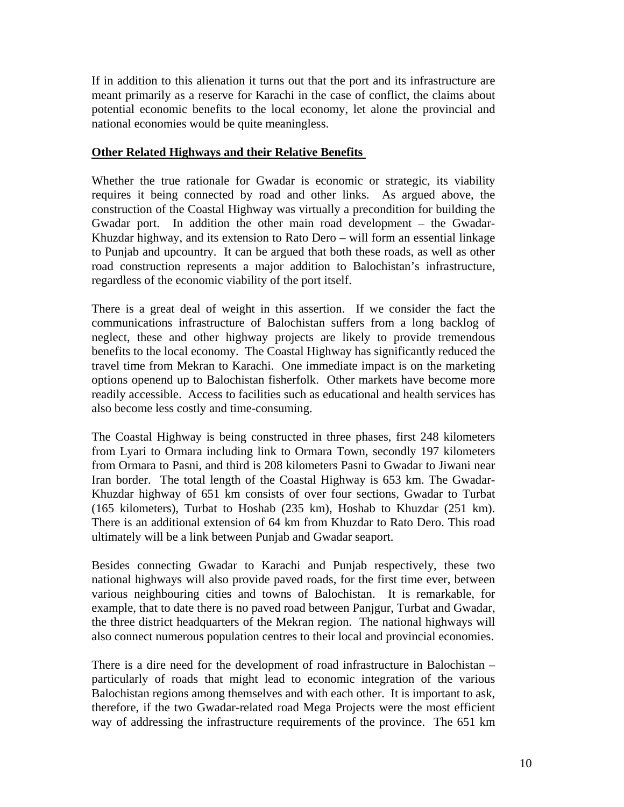If in addition to this alienation it turns out that the port and its infrastructure are meant primarily as a reserve for Karachi in the case of conflict, the claims about potential economic benefits to the local economy, let alone the provincial and national economies would be quite meaningless.

#### **Other Related Highways and their Relative Benefits**

Whether the true rationale for Gwadar is economic or strategic, its viability requires it being connected by road and other links. As argued above, the construction of the Coastal Highway was virtually a precondition for building the Gwadar port. In addition the other main road development – the Gwadar-Khuzdar highway, and its extension to Rato Dero – will form an essential linkage to Punjab and upcountry. It can be argued that both these roads, as well as other road construction represents a major addition to Balochistan's infrastructure, regardless of the economic viability of the port itself.

There is a great deal of weight in this assertion. If we consider the fact the communications infrastructure of Balochistan suffers from a long backlog of neglect, these and other highway projects are likely to provide tremendous benefits to the local economy. The Coastal Highway has significantly reduced the travel time from Mekran to Karachi. One immediate impact is on the marketing options openend up to Balochistan fisherfolk. Other markets have become more readily accessible. Access to facilities such as educational and health services has also become less costly and time-consuming.

The Coastal Highway is being constructed in three phases, first 248 kilometers from Lyari to Ormara including link to Ormara Town, secondly 197 kilometers from Ormara to Pasni, and third is 208 kilometers Pasni to Gwadar to Jiwani near Iran border. The total length of the Coastal Highway is 653 km. The Gwadar-Khuzdar highway of 651 km consists of over four sections, Gwadar to Turbat (165 kilometers), Turbat to Hoshab (235 km), Hoshab to Khuzdar (251 km). There is an additional extension of 64 km from Khuzdar to Rato Dero. This road ultimately will be a link between Punjab and Gwadar seaport.

Besides connecting Gwadar to Karachi and Punjab respectively, these two national highways will also provide paved roads, for the first time ever, between various neighbouring cities and towns of Balochistan. It is remarkable, for example, that to date there is no paved road between Panjgur, Turbat and Gwadar, the three district headquarters of the Mekran region. The national highways will also connect numerous population centres to their local and provincial economies.

There is a dire need for the development of road infrastructure in Balochistan – particularly of roads that might lead to economic integration of the various Balochistan regions among themselves and with each other. It is important to ask, therefore, if the two Gwadar-related road Mega Projects were the most efficient way of addressing the infrastructure requirements of the province. The 651 km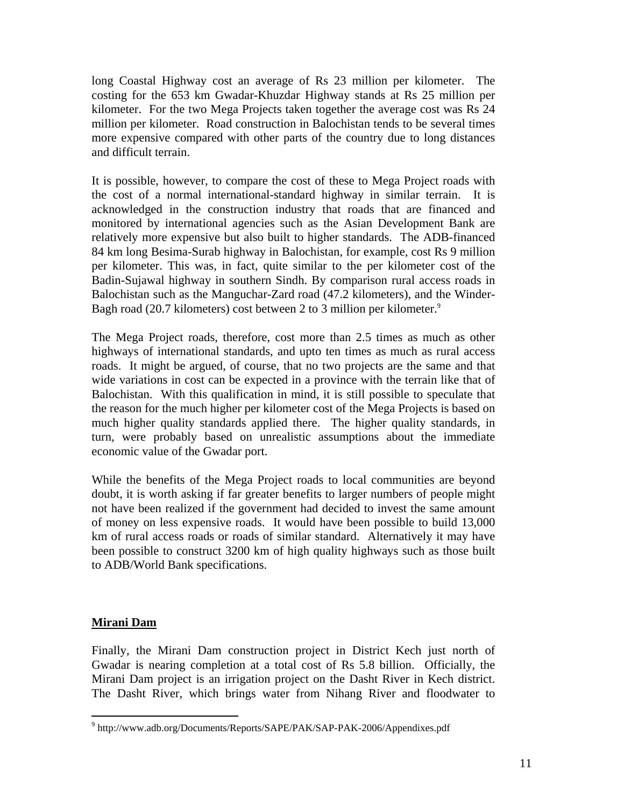long Coastal Highway cost an average of Rs 23 million per kilometer. The costing for the 653 km Gwadar-Khuzdar Highway stands at Rs 25 million per kilometer. For the two Mega Projects taken together the average cost was Rs 24 million per kilometer. Road construction in Balochistan tends to be several times more expensive compared with other parts of the country due to long distances and difficult terrain.

It is possible, however, to compare the cost of these to Mega Project roads with the cost of a normal international-standard highway in similar terrain. It is acknowledged in the construction industry that roads that are financed and monitored by international agencies such as the Asian Development Bank are relatively more expensive but also built to higher standards. The ADB-financed 84 km long Besima-Surab highway in Balochistan, for example, cost Rs 9 million per kilometer. This was, in fact, quite similar to the per kilometer cost of the Badin-Sujawal highway in southern Sindh. By comparison rural access roads in Balochistan such as the Manguchar-Zard road (47.2 kilometers), and the Winder-Bagh road (20.7 kilometers) cost between 2 to 3 million per kilometer.<sup>9</sup>

The Mega Project roads, therefore, cost more than 2.5 times as much as other highways of international standards, and upto ten times as much as rural access roads. It might be argued, of course, that no two projects are the same and that wide variations in cost can be expected in a province with the terrain like that of Balochistan. With this qualification in mind, it is still possible to speculate that the reason for the much higher per kilometer cost of the Mega Projects is based on much higher quality standards applied there. The higher quality standards, in turn, were probably based on unrealistic assumptions about the immediate economic value of the Gwadar port.

While the benefits of the Mega Project roads to local communities are beyond doubt, it is worth asking if far greater benefits to larger numbers of people might not have been realized if the government had decided to invest the same amount of money on less expensive roads. It would have been possible to build 13,000 km of rural access roads or roads of similar standard. Alternatively it may have been possible to construct 3200 km of high quality highways such as those built to ADB/World Bank specifications.

#### **Mirani Dam**

 $\overline{a}$ 

Finally, the Mirani Dam construction project in District Kech just north of Gwadar is nearing completion at a total cost of Rs 5.8 billion. Officially, the Mirani Dam project is an irrigation project on the Dasht River in Kech district. The Dasht River, which brings water from Nihang River and floodwater to

<span id="page-10-0"></span><sup>&</sup>lt;sup>9</sup> http://www.adb.org/Documents/Reports/SAPE/PAK/SAP-PAK-2006/Appendixes.pdf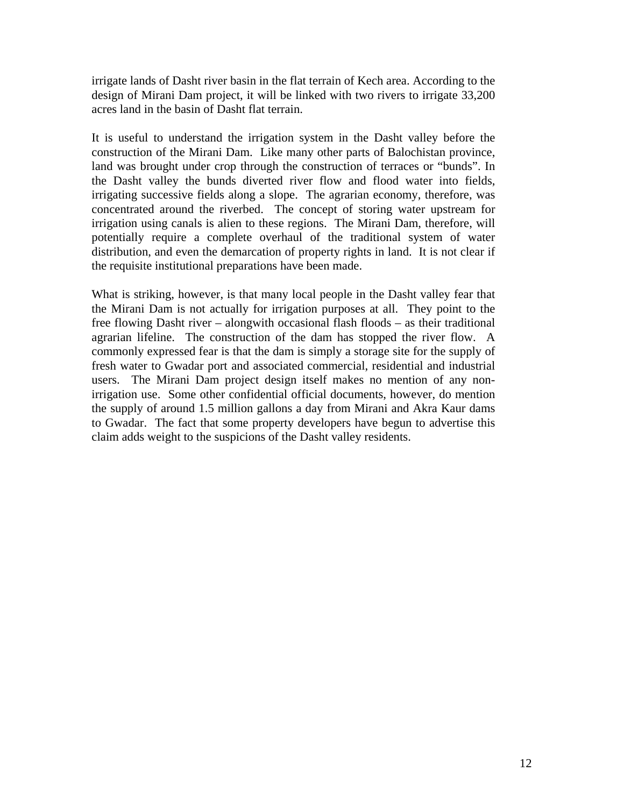irrigate lands of Dasht river basin in the flat terrain of Kech area. According to the design of Mirani Dam project, it will be linked with two rivers to irrigate 33,200 acres land in the basin of Dasht flat terrain.

It is useful to understand the irrigation system in the Dasht valley before the construction of the Mirani Dam. Like many other parts of Balochistan province, land was brought under crop through the construction of terraces or "bunds". In the Dasht valley the bunds diverted river flow and flood water into fields, irrigating successive fields along a slope. The agrarian economy, therefore, was concentrated around the riverbed. The concept of storing water upstream for irrigation using canals is alien to these regions. The Mirani Dam, therefore, will potentially require a complete overhaul of the traditional system of water distribution, and even the demarcation of property rights in land. It is not clear if the requisite institutional preparations have been made.

What is striking, however, is that many local people in the Dasht valley fear that the Mirani Dam is not actually for irrigation purposes at all. They point to the free flowing Dasht river – alongwith occasional flash floods – as their traditional agrarian lifeline. The construction of the dam has stopped the river flow. A commonly expressed fear is that the dam is simply a storage site for the supply of fresh water to Gwadar port and associated commercial, residential and industrial users. The Mirani Dam project design itself makes no mention of any nonirrigation use. Some other confidential official documents, however, do mention the supply of around 1.5 million gallons a day from Mirani and Akra Kaur dams to Gwadar. The fact that some property developers have begun to advertise this claim adds weight to the suspicions of the Dasht valley residents.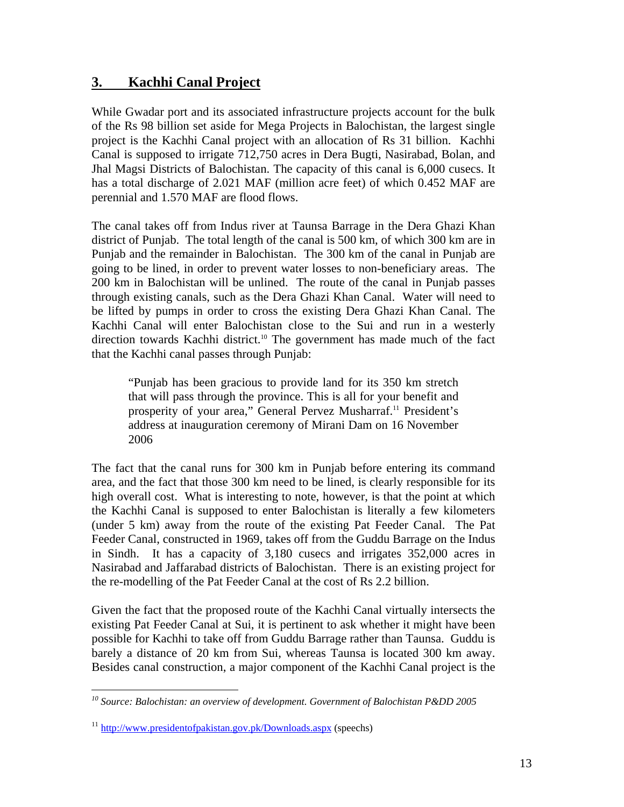# **3. Kachhi Canal Project**

While Gwadar port and its associated infrastructure projects account for the bulk of the Rs 98 billion set aside for Mega Projects in Balochistan, the largest single project is the Kachhi Canal project with an allocation of Rs 31 billion. Kachhi Canal is supposed to irrigate 712,750 acres in Dera Bugti, Nasirabad, Bolan, and Jhal Magsi Districts of Balochistan. The capacity of this canal is 6,000 cusecs. It has a total discharge of 2.021 MAF (million acre feet) of which 0.452 MAF are perennial and 1.570 MAF are flood flows.

The canal takes off from Indus river at Taunsa Barrage in the Dera Ghazi Khan district of Punjab. The total length of the canal is 500 km, of which 300 km are in Punjab and the remainder in Balochistan. The 300 km of the canal in Punjab are going to be lined, in order to prevent water losses to non-beneficiary areas. The 200 km in Balochistan will be unlined. The route of the canal in Punjab passes through existing canals, such as the Dera Ghazi Khan Canal. Water will need to be lifted by pumps in order to cross the existing Dera Ghazi Khan Canal. The Kachhi Canal will enter Balochistan close to the Sui and run in a westerly direction towards Kachhi district.<sup>10</sup> The government has made much of the fact that the Kachhi canal passes through Punjab:

"Punjab has been gracious to provide land for its 350 km stretch that will pass through the province. This is all for your benefit and prosperity of your area," General Pervez Musharraf.<sup>11</sup> President's address at inauguration ceremony of Mirani Dam on 16 November 2006

The fact that the canal runs for 300 km in Punjab before entering its command area, and the fact that those 300 km need to be lined, is clearly responsible for its high overall cost. What is interesting to note, however, is that the point at which the Kachhi Canal is supposed to enter Balochistan is literally a few kilometers (under 5 km) away from the route of the existing Pat Feeder Canal. The Pat Feeder Canal, constructed in 1969, takes off from the Guddu Barrage on the Indus in Sindh. It has a capacity of 3,180 cusecs and irrigates 352,000 acres in Nasirabad and Jaffarabad districts of Balochistan. There is an existing project for the re-modelling of the Pat Feeder Canal at the cost of Rs 2.2 billion.

Given the fact that the proposed route of the Kachhi Canal virtually intersects the existing Pat Feeder Canal at Sui, it is pertinent to ask whether it might have been possible for Kachhi to take off from Guddu Barrage rather than Taunsa. Guddu is barely a distance of 20 km from Sui, whereas Taunsa is located 300 km away. Besides canal construction, a major component of the Kachhi Canal project is the

1

<span id="page-12-0"></span>*<sup>10</sup> Source: Balochistan: an overview of development. Government of Balochistan P&DD 2005* 

<span id="page-12-1"></span><sup>11</sup> http://www.presidentofpakistan.gov.pk/Downloads.aspx (speechs)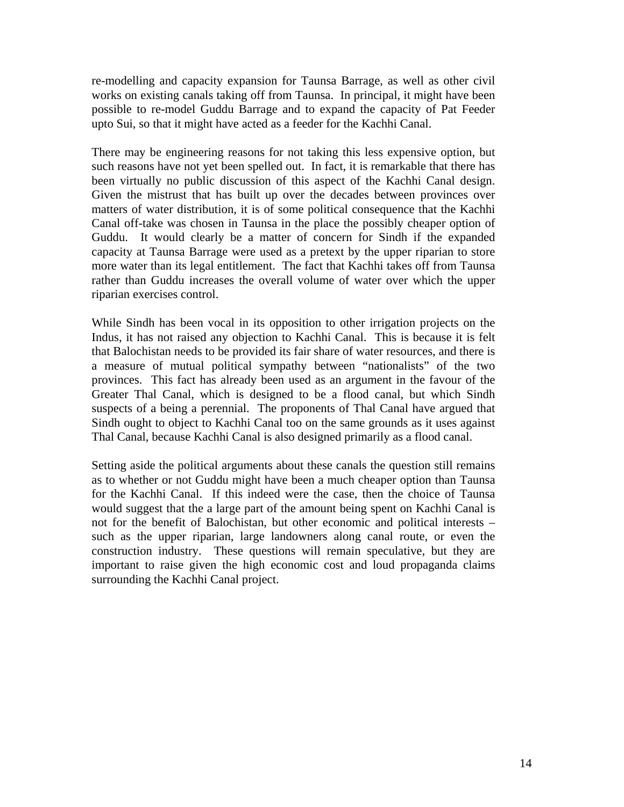re-modelling and capacity expansion for Taunsa Barrage, as well as other civil works on existing canals taking off from Taunsa. In principal, it might have been possible to re-model Guddu Barrage and to expand the capacity of Pat Feeder upto Sui, so that it might have acted as a feeder for the Kachhi Canal.

There may be engineering reasons for not taking this less expensive option, but such reasons have not yet been spelled out. In fact, it is remarkable that there has been virtually no public discussion of this aspect of the Kachhi Canal design. Given the mistrust that has built up over the decades between provinces over matters of water distribution, it is of some political consequence that the Kachhi Canal off-take was chosen in Taunsa in the place the possibly cheaper option of Guddu. It would clearly be a matter of concern for Sindh if the expanded capacity at Taunsa Barrage were used as a pretext by the upper riparian to store more water than its legal entitlement. The fact that Kachhi takes off from Taunsa rather than Guddu increases the overall volume of water over which the upper riparian exercises control.

While Sindh has been vocal in its opposition to other irrigation projects on the Indus, it has not raised any objection to Kachhi Canal. This is because it is felt that Balochistan needs to be provided its fair share of water resources, and there is a measure of mutual political sympathy between "nationalists" of the two provinces. This fact has already been used as an argument in the favour of the Greater Thal Canal, which is designed to be a flood canal, but which Sindh suspects of a being a perennial. The proponents of Thal Canal have argued that Sindh ought to object to Kachhi Canal too on the same grounds as it uses against Thal Canal, because Kachhi Canal is also designed primarily as a flood canal.

Setting aside the political arguments about these canals the question still remains as to whether or not Guddu might have been a much cheaper option than Taunsa for the Kachhi Canal. If this indeed were the case, then the choice of Taunsa would suggest that the a large part of the amount being spent on Kachhi Canal is not for the benefit of Balochistan, but other economic and political interests – such as the upper riparian, large landowners along canal route, or even the construction industry. These questions will remain speculative, but they are important to raise given the high economic cost and loud propaganda claims surrounding the Kachhi Canal project.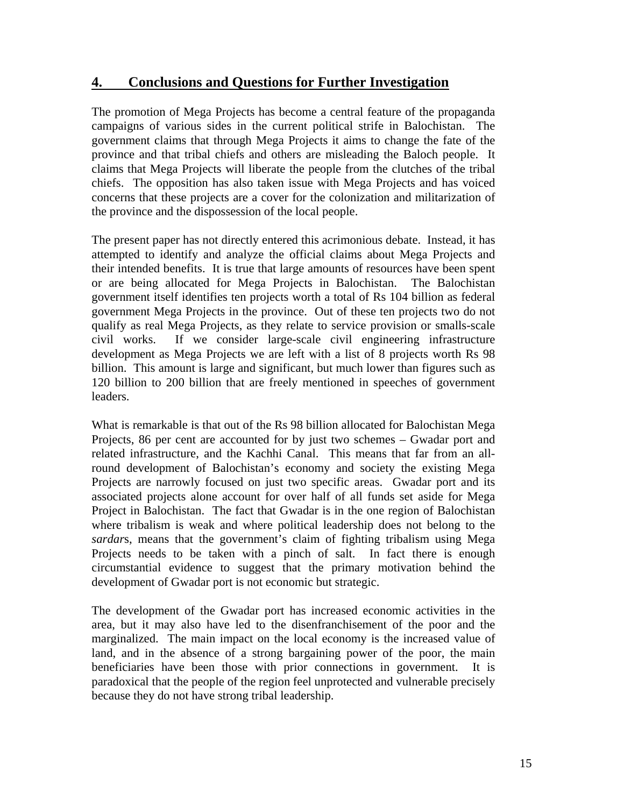## **4. Conclusions and Questions for Further Investigation**

The promotion of Mega Projects has become a central feature of the propaganda campaigns of various sides in the current political strife in Balochistan. The government claims that through Mega Projects it aims to change the fate of the province and that tribal chiefs and others are misleading the Baloch people. It claims that Mega Projects will liberate the people from the clutches of the tribal chiefs. The opposition has also taken issue with Mega Projects and has voiced concerns that these projects are a cover for the colonization and militarization of the province and the dispossession of the local people.

The present paper has not directly entered this acrimonious debate. Instead, it has attempted to identify and analyze the official claims about Mega Projects and their intended benefits. It is true that large amounts of resources have been spent or are being allocated for Mega Projects in Balochistan. The Balochistan government itself identifies ten projects worth a total of Rs 104 billion as federal government Mega Projects in the province. Out of these ten projects two do not qualify as real Mega Projects, as they relate to service provision or smalls-scale civil works. If we consider large-scale civil engineering infrastructure development as Mega Projects we are left with a list of 8 projects worth Rs 98 billion. This amount is large and significant, but much lower than figures such as 120 billion to 200 billion that are freely mentioned in speeches of government leaders.

What is remarkable is that out of the Rs 98 billion allocated for Balochistan Mega Projects, 86 per cent are accounted for by just two schemes – Gwadar port and related infrastructure, and the Kachhi Canal. This means that far from an allround development of Balochistan's economy and society the existing Mega Projects are narrowly focused on just two specific areas. Gwadar port and its associated projects alone account for over half of all funds set aside for Mega Project in Balochistan. The fact that Gwadar is in the one region of Balochistan where tribalism is weak and where political leadership does not belong to the *sardar*s, means that the government's claim of fighting tribalism using Mega Projects needs to be taken with a pinch of salt. In fact there is enough circumstantial evidence to suggest that the primary motivation behind the development of Gwadar port is not economic but strategic.

The development of the Gwadar port has increased economic activities in the area, but it may also have led to the disenfranchisement of the poor and the marginalized. The main impact on the local economy is the increased value of land, and in the absence of a strong bargaining power of the poor, the main beneficiaries have been those with prior connections in government. It is paradoxical that the people of the region feel unprotected and vulnerable precisely because they do not have strong tribal leadership.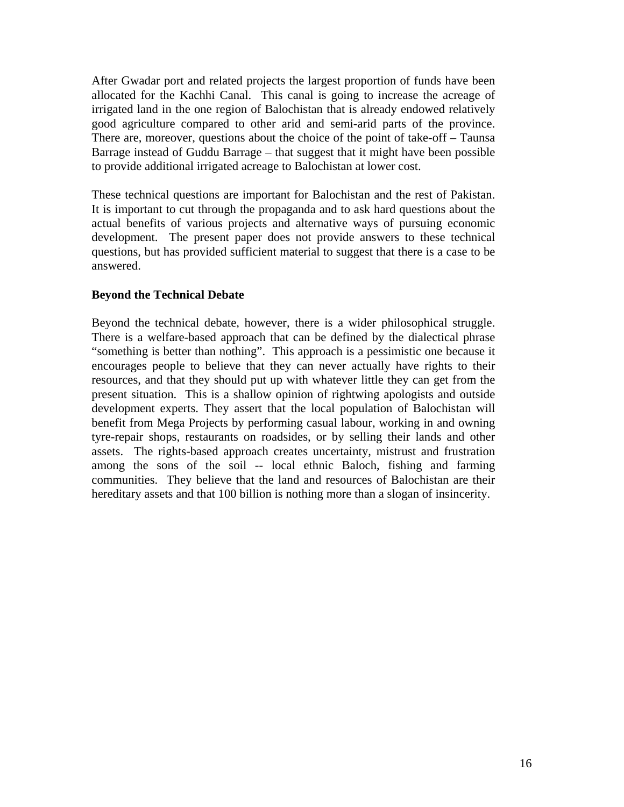After Gwadar port and related projects the largest proportion of funds have been allocated for the Kachhi Canal. This canal is going to increase the acreage of irrigated land in the one region of Balochistan that is already endowed relatively good agriculture compared to other arid and semi-arid parts of the province. There are, moreover, questions about the choice of the point of take-off – Taunsa Barrage instead of Guddu Barrage – that suggest that it might have been possible to provide additional irrigated acreage to Balochistan at lower cost.

These technical questions are important for Balochistan and the rest of Pakistan. It is important to cut through the propaganda and to ask hard questions about the actual benefits of various projects and alternative ways of pursuing economic development. The present paper does not provide answers to these technical questions, but has provided sufficient material to suggest that there is a case to be answered.

#### **Beyond the Technical Debate**

Beyond the technical debate, however, there is a wider philosophical struggle. There is a welfare-based approach that can be defined by the dialectical phrase "something is better than nothing". This approach is a pessimistic one because it encourages people to believe that they can never actually have rights to their resources, and that they should put up with whatever little they can get from the present situation. This is a shallow opinion of rightwing apologists and outside development experts. They assert that the local population of Balochistan will benefit from Mega Projects by performing casual labour, working in and owning tyre-repair shops, restaurants on roadsides, or by selling their lands and other assets. The rights-based approach creates uncertainty, mistrust and frustration among the sons of the soil -- local ethnic Baloch, fishing and farming communities. They believe that the land and resources of Balochistan are their hereditary assets and that 100 billion is nothing more than a slogan of insincerity.